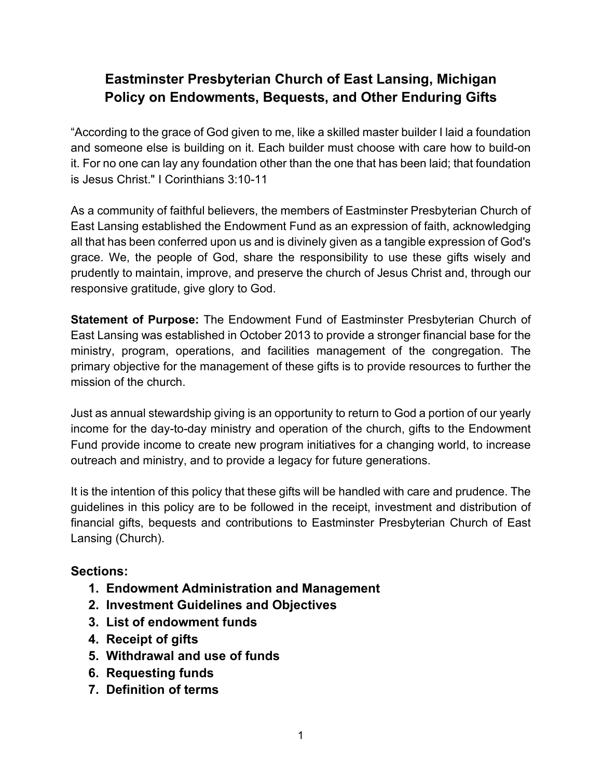# **Eastminster Presbyterian Church of East Lansing, Michigan Policy on Endowments, Bequests, and Other Enduring Gifts**

"According to the grace of God given to me, like a skilled master builder I laid a foundation and someone else is building on it. Each builder must choose with care how to build-on it. For no one can lay any foundation other than the one that has been laid; that foundation is Jesus Christ." I Corinthians 3:10-11

As a community of faithful believers, the members of Eastminster Presbyterian Church of East Lansing established the Endowment Fund as an expression of faith, acknowledging all that has been conferred upon us and is divinely given as a tangible expression of God's grace. We, the people of God, share the responsibility to use these gifts wisely and prudently to maintain, improve, and preserve the church of Jesus Christ and, through our responsive gratitude, give glory to God.

**Statement of Purpose:** The Endowment Fund of Eastminster Presbyterian Church of East Lansing was established in October 2013 to provide a stronger financial base for the ministry, program, operations, and facilities management of the congregation. The primary objective for the management of these gifts is to provide resources to further the mission of the church.

Just as annual stewardship giving is an opportunity to return to God a portion of our yearly income for the day-to-day ministry and operation of the church, gifts to the Endowment Fund provide income to create new program initiatives for a changing world, to increase outreach and ministry, and to provide a legacy for future generations.

It is the intention of this policy that these gifts will be handled with care and prudence. The guidelines in this policy are to be followed in the receipt, investment and distribution of financial gifts, bequests and contributions to Eastminster Presbyterian Church of East Lansing (Church).

# **Sections:**

- **1. Endowment Administration and Management**
- **2. Investment Guidelines and Objectives**
- **3. List of endowment funds**
- **4. Receipt of gifts**
- **5. Withdrawal and use of funds**
- **6. Requesting funds**
- **7. Definition of terms**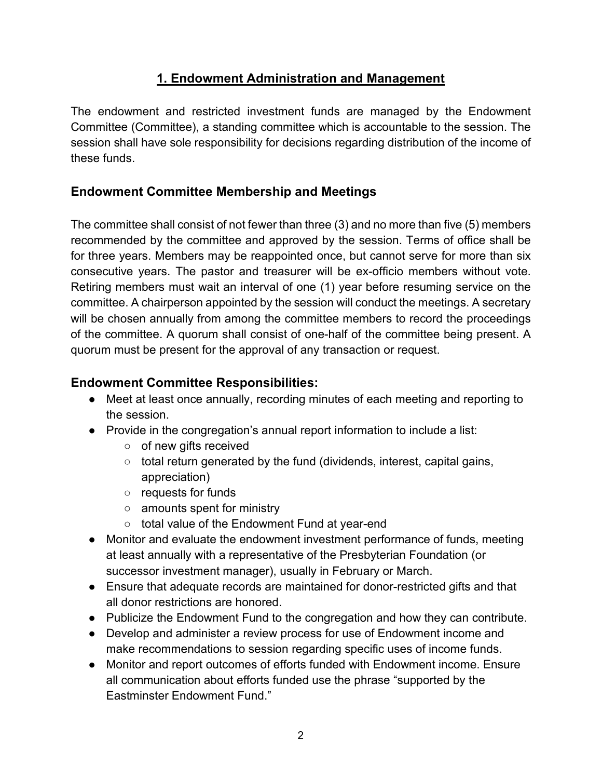### **1. Endowment Administration and Management**

The endowment and restricted investment funds are managed by the Endowment Committee (Committee), a standing committee which is accountable to the session. The session shall have sole responsibility for decisions regarding distribution of the income of these funds.

### **Endowment Committee Membership and Meetings**

The committee shall consist of not fewer than three (3) and no more than five (5) members recommended by the committee and approved by the session. Terms of office shall be for three years. Members may be reappointed once, but cannot serve for more than six consecutive years. The pastor and treasurer will be ex-officio members without vote. Retiring members must wait an interval of one (1) year before resuming service on the committee. A chairperson appointed by the session will conduct the meetings. A secretary will be chosen annually from among the committee members to record the proceedings of the committee. A quorum shall consist of one-half of the committee being present. A quorum must be present for the approval of any transaction or request.

### **Endowment Committee Responsibilities:**

- Meet at least once annually, recording minutes of each meeting and reporting to the session.
- Provide in the congregation's annual report information to include a list:
	- of new gifts received
	- total return generated by the fund (dividends, interest, capital gains, appreciation)
	- requests for funds
	- amounts spent for ministry
	- total value of the Endowment Fund at year-end
- Monitor and evaluate the endowment investment performance of funds, meeting at least annually with a representative of the Presbyterian Foundation (or successor investment manager), usually in February or March.
- Ensure that adequate records are maintained for donor-restricted gifts and that all donor restrictions are honored.
- Publicize the Endowment Fund to the congregation and how they can contribute.
- Develop and administer a review process for use of Endowment income and make recommendations to session regarding specific uses of income funds.
- Monitor and report outcomes of efforts funded with Endowment income. Ensure all communication about efforts funded use the phrase "supported by the Eastminster Endowment Fund."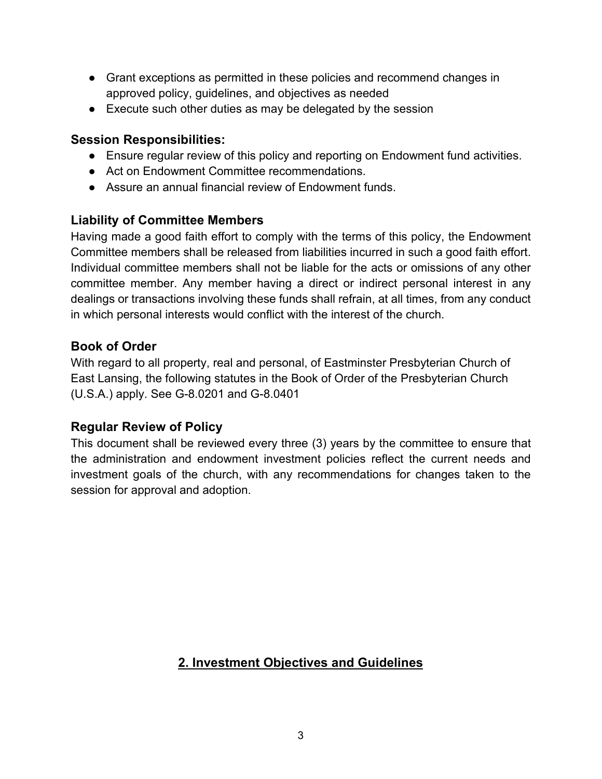- Grant exceptions as permitted in these policies and recommend changes in approved policy, guidelines, and objectives as needed
- Execute such other duties as may be delegated by the session

### **Session Responsibilities:**

- Ensure regular review of this policy and reporting on Endowment fund activities.
- Act on Endowment Committee recommendations.
- Assure an annual financial review of Endowment funds.

### **Liability of Committee Members**

Having made a good faith effort to comply with the terms of this policy, the Endowment Committee members shall be released from liabilities incurred in such a good faith effort. Individual committee members shall not be liable for the acts or omissions of any other committee member. Any member having a direct or indirect personal interest in any dealings or transactions involving these funds shall refrain, at all times, from any conduct in which personal interests would conflict with the interest of the church.

### **Book of Order**

With regard to all property, real and personal, of Eastminster Presbyterian Church of East Lansing, the following statutes in the Book of Order of the Presbyterian Church (U.S.A.) apply. See G-8.0201 and G-8.0401

# **Regular Review of Policy**

This document shall be reviewed every three (3) years by the committee to ensure that the administration and endowment investment policies reflect the current needs and investment goals of the church, with any recommendations for changes taken to the session for approval and adoption.

# **2. Investment Objectives and Guidelines**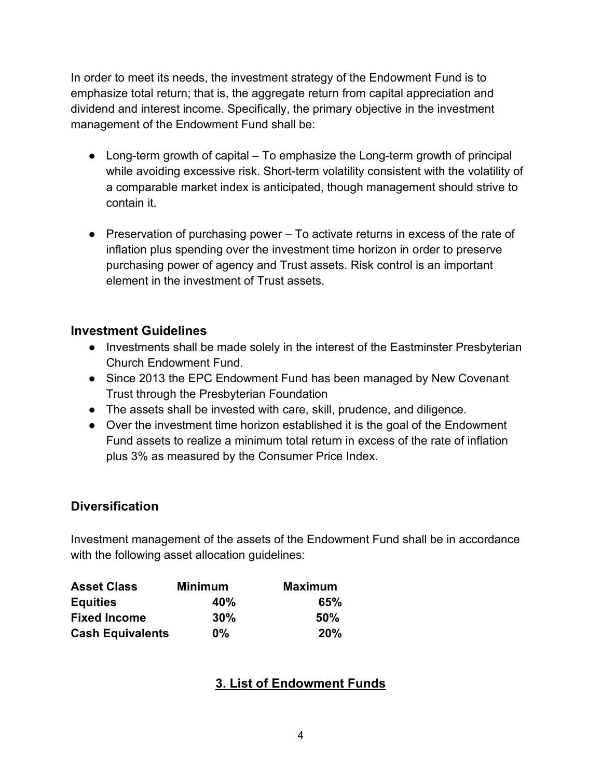In order to meet its needs, the investment strategy of the Endowment Fund is to emphasize total return; that is, the aggregate return from capital appreciation and dividend and interest income. Specifically, the primary objective in the investment management of the Endowment Fund shall be:

- Long-term growth of capital To emphasize the Long-term growth of principal while avoiding excessive risk. Short-term volatility consistent with the volatility of a comparable market index is anticipated, though management should strive to contain it.
- $\bullet$  Preservation of purchasing power  $-$  To activate returns in excess of the rate of inflation plus spending over the investment time horizon in order to preserve purchasing power of agency and Trust assets. Risk control is an important element in the investment of Trust assets.

### **Investment Guidelines**

- Investments shall be made solely in the interest of the Eastminster Presbyterian Church Endowment Fund.
- Since 2013 the EPC Endowment Fund has been managed by New Covenant Trust through the Presbyterian Foundation
- The assets shall be invested with care, skill, prudence, and diligence.
- Over the investment time horizon established it is the goal of the Endowment Fund assets to realize a minimum total return in excess of the rate of inflation plus 3% as measured by the Consumer Price Index.

### **Diversification**

Investment management of the assets of the Endowment Fund shall be in accordance with the following asset allocation guidelines:

| <b>Asset Class</b>      | <b>Minimum</b> | <b>Maximum</b> |
|-------------------------|----------------|----------------|
| <b>Equities</b>         | 40%            | 65%            |
| <b>Fixed Income</b>     | $30\%$         | 50%            |
| <b>Cash Equivalents</b> | $0\%$          | 20%            |

# **3. List of Endowment Funds**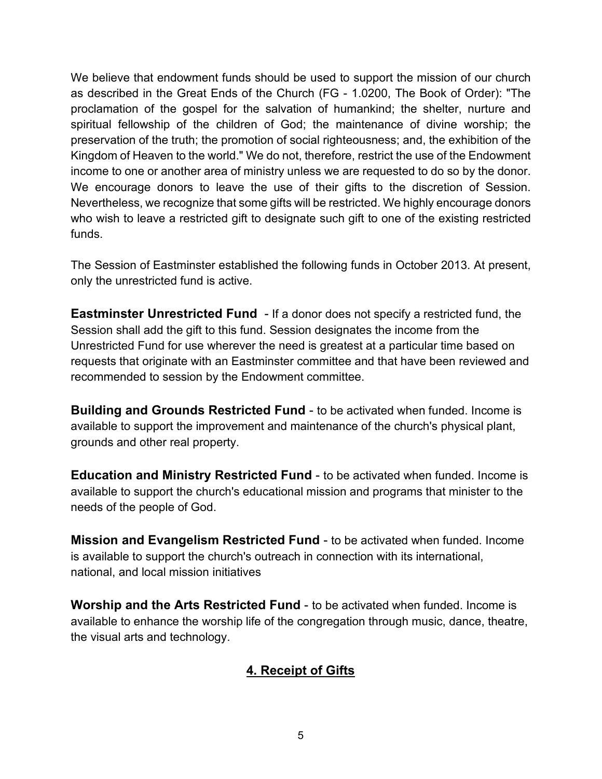We believe that endowment funds should be used to support the mission of our church as described in the Great Ends of the Church (FG - 1.0200, The Book of Order): "The proclamation of the gospel for the salvation of humankind; the shelter, nurture and spiritual fellowship of the children of God; the maintenance of divine worship; the preservation of the truth; the promotion of social righteousness; and, the exhibition of the Kingdom of Heaven to the world." We do not, therefore, restrict the use of the Endowment income to one or another area of ministry unless we are requested to do so by the donor. We encourage donors to leave the use of their gifts to the discretion of Session. Nevertheless, we recognize that some gifts will be restricted. We highly encourage donors who wish to leave a restricted gift to designate such gift to one of the existing restricted funds.

The Session of Eastminster established the following funds in October 2013. At present, only the unrestricted fund is active.

**Eastminster Unrestricted Fund** - If a donor does not specify a restricted fund, the Session shall add the gift to this fund. Session designates the income from the Unrestricted Fund for use wherever the need is greatest at a particular time based on requests that originate with an Eastminster committee and that have been reviewed and recommended to session by the Endowment committee.

**Building and Grounds Restricted Fund** - to be activated when funded. Income is available to support the improvement and maintenance of the church's physical plant, grounds and other real property.

**Education and Ministry Restricted Fund** - to be activated when funded. Income is available to support the church's educational mission and programs that minister to the needs of the people of God.

**Mission and Evangelism Restricted Fund** - to be activated when funded. Income is available to support the church's outreach in connection with its international, national, and local mission initiatives

**Worship and the Arts Restricted Fund** - to be activated when funded. Income is available to enhance the worship life of the congregation through music, dance, theatre, the visual arts and technology.

# **4. Receipt of Gifts**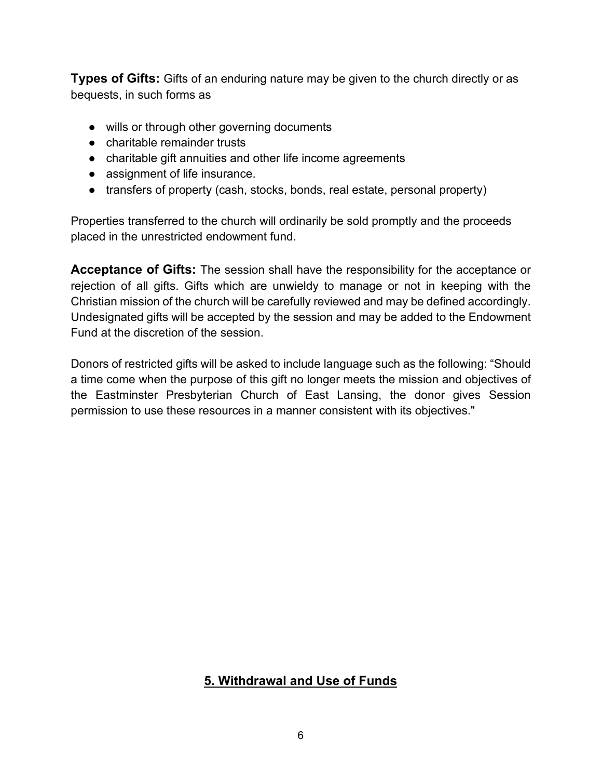**Types of Gifts:** Gifts of an enduring nature may be given to the church directly or as bequests, in such forms as

- wills or through other governing documents
- charitable remainder trusts
- charitable gift annuities and other life income agreements
- assignment of life insurance.
- transfers of property (cash, stocks, bonds, real estate, personal property)

Properties transferred to the church will ordinarily be sold promptly and the proceeds placed in the unrestricted endowment fund.

**Acceptance of Gifts:** The session shall have the responsibility for the acceptance or rejection of all gifts. Gifts which are unwieldy to manage or not in keeping with the Christian mission of the church will be carefully reviewed and may be defined accordingly. Undesignated gifts will be accepted by the session and may be added to the Endowment Fund at the discretion of the session.

Donors of restricted gifts will be asked to include language such as the following: "Should a time come when the purpose of this gift no longer meets the mission and objectives of the Eastminster Presbyterian Church of East Lansing, the donor gives Session permission to use these resources in a manner consistent with its objectives."

# **5. Withdrawal and Use of Funds**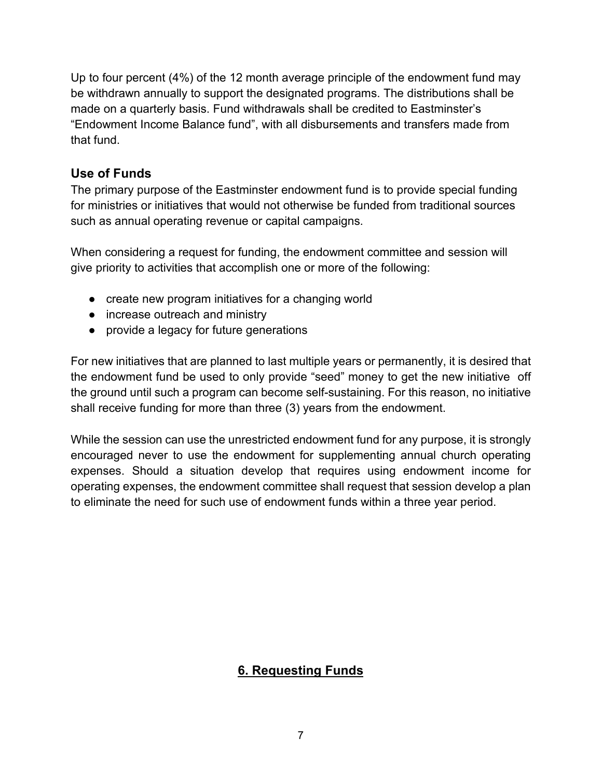Up to four percent (4%) of the 12 month average principle of the endowment fund may be withdrawn annually to support the designated programs. The distributions shall be made on a quarterly basis. Fund withdrawals shall be credited to Eastminster's "Endowment Income Balance fund", with all disbursements and transfers made from that fund.

### **Use of Funds**

The primary purpose of the Eastminster endowment fund is to provide special funding for ministries or initiatives that would not otherwise be funded from traditional sources such as annual operating revenue or capital campaigns.

When considering a request for funding, the endowment committee and session will give priority to activities that accomplish one or more of the following:

- create new program initiatives for a changing world
- increase outreach and ministry
- provide a legacy for future generations

For new initiatives that are planned to last multiple years or permanently, it is desired that the endowment fund be used to only provide "seed" money to get the new initiative off the ground until such a program can become self-sustaining. For this reason, no initiative shall receive funding for more than three (3) years from the endowment.

While the session can use the unrestricted endowment fund for any purpose, it is strongly encouraged never to use the endowment for supplementing annual church operating expenses. Should a situation develop that requires using endowment income for operating expenses, the endowment committee shall request that session develop a plan to eliminate the need for such use of endowment funds within a three year period.

# **6. Requesting Funds**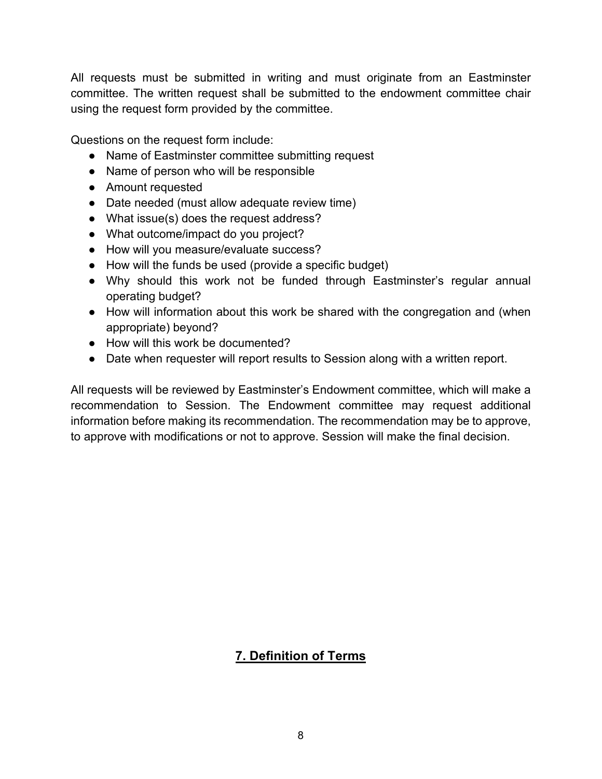All requests must be submitted in writing and must originate from an Eastminster committee. The written request shall be submitted to the endowment committee chair using the request form provided by the committee.

Questions on the request form include:

- Name of Eastminster committee submitting request
- Name of person who will be responsible
- Amount requested
- Date needed (must allow adequate review time)
- What issue(s) does the request address?
- What outcome/impact do you project?
- How will you measure/evaluate success?
- How will the funds be used (provide a specific budget)
- Why should this work not be funded through Eastminster's regular annual operating budget?
- How will information about this work be shared with the congregation and (when appropriate) beyond?
- How will this work be documented?
- Date when requester will report results to Session along with a written report.

All requests will be reviewed by Eastminster's Endowment committee, which will make a recommendation to Session. The Endowment committee may request additional information before making its recommendation. The recommendation may be to approve, to approve with modifications or not to approve. Session will make the final decision.

# **7. Definition of Terms**